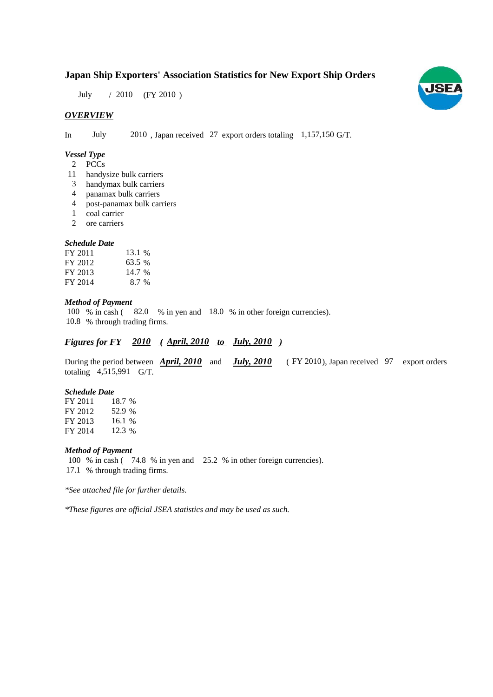# **Japan Ship Exporters' Association Statistics for New Export Ship Orders**

July / 2010 (FY 2010)

# *OVERVIEW*

In July 2010, Japan received 27 export orders totaling 1,157,150 G/T.

## *Vessel Type*

- PCCs 2
- handysize bulk carriers 11
- handymax bulk carriers 3
- panamax bulk carriers 4
- post-panamax bulk carriers 4
- coal carrier 1
- ore carriers 2

## *Schedule Date*

| FY 2011 | 13.1 % |
|---------|--------|
| FY 2012 | 63.5 % |
| FY 2013 | 14.7 % |
| FY 2014 | 8.7 %  |

## *Method of Payment*

100 % in cash (82.0 % in yen and 18.0 % in other foreign currencies). % through trading firms. 10.8

# *Figures for FY* 2010 (April, 2010 to July, 2010)

During the period between **April, 2010** and **July, 2010** (FY 2010), Japan received 97 export orders totaling  $4,515,991$  G/T.

#### *Schedule Date*

FY 2011 FY 2012 FY 2013 FY 2014 18.7 52.9 16.1 12.3 %

## *Method of Payment*

100 % in cash ( $74.8$  % in yen and  $25.2$  % in other foreign currencies). 17.1 % through trading firms.

*\*See attached file for further details.*

*\*These figures are official JSEA statistics and may be used as such.*

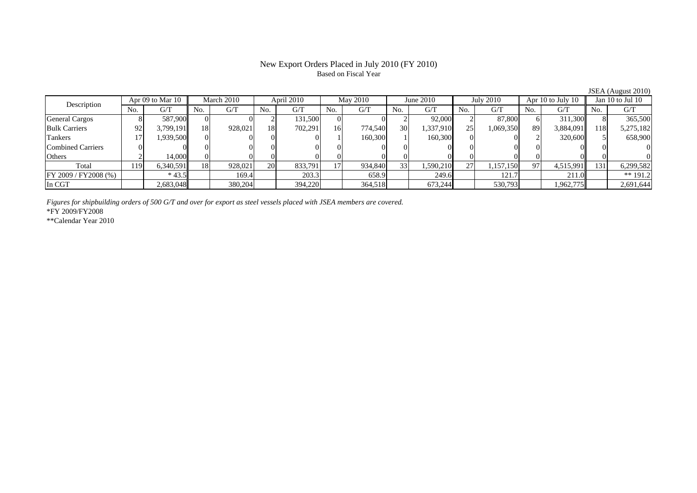# New Export Orders Placed in July 2010 (FY 2010) Based on Fiscal Year

JSEA (August 2010)

|                       |     |                  |     |            |     |            |     |                 |     |           |     |                  |     |                   |     | $JJLA$ (August 2010) |
|-----------------------|-----|------------------|-----|------------|-----|------------|-----|-----------------|-----|-----------|-----|------------------|-----|-------------------|-----|----------------------|
| Description           |     | Apr 09 to Mar 10 |     | March 2010 |     | April 2010 |     | <b>May 2010</b> |     | June 2010 |     | <b>July 2010</b> |     | Apr 10 to July 10 |     | Jan $10$ to Jul $10$ |
|                       |     | G/T              | No. | G/T        | No. | G/T        | No. | G/T             | No. | G/T       | No. | G/T              | No. | G/T               | No. | G/T                  |
| <b>General Cargos</b> |     | 587,900          |     |            |     | 131,500    |     |                 |     | 92,000    |     | 87,800           |     | 311.300           |     | 365,500              |
| <b>Bulk Carriers</b>  | 92  | 3.799.191        | 18  | 928,021    | 18  | 702.291    | 16  | 774.540         | 30  | 1,337,910 | 25  | 1,069,350        | 89  | 3,884,091         | 118 | 5,275,182            |
| Tankers               |     | 1,939,500        |     |            |     |            |     | 160,300         |     | 160,300   |     |                  |     | 320,600           |     | 658,900              |
| Combined Carriers     |     |                  |     |            |     |            |     |                 |     |           |     |                  |     |                   |     |                      |
| Others                |     | 14,000           |     |            |     |            |     |                 |     |           |     |                  |     |                   |     |                      |
| Total                 | 119 | 6,340,591        | 18  | 928.021    | 20  | 833,791    |     | 934,840         | 33  | 1,590,210 | 27  | 1,157,150        | Q7  | 4,515,991         | 131 | 6,299,582            |
| FF 2009 / FY2008 (%)  |     | $*43.5$          |     | 169.4      |     | 203.3      |     | 658.9           |     | 249.6     |     | 121.7            |     | 211.0             |     | $** 191.2$           |
| In CGT                |     | 2,683,048        |     | 380,204    |     | 394,220    |     | 364,518         |     | 673,244   |     | 530,793          |     | 1,962,775         |     | 2,691,644            |

*Figures for shipbuilding orders of 500 G/T and over for export as steel vessels placed with JSEA members are covered.* \*FY 2009/FY2008

\*\*Calendar Year 2010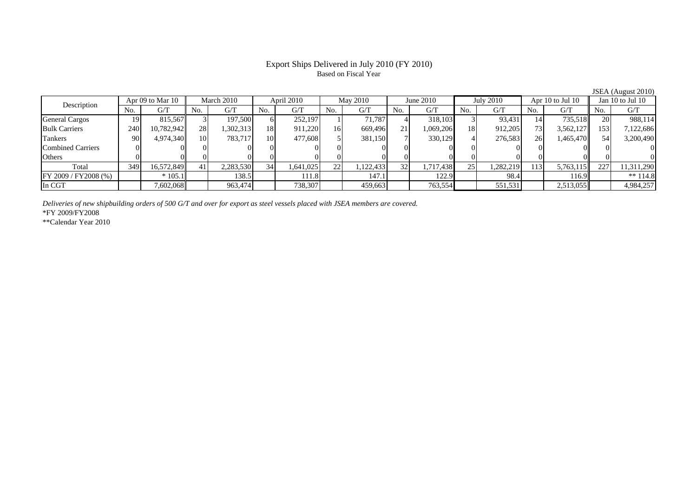# Export Ships Delivered in July 2010 (FY 2010) Based on Fiscal Year

JSEA (August 2010)

| Description              | Apr 09 to Mar 10 |            | March 2010 |           | April 2010 |           | May 2010 |           | June $2010$     |           | July 2010 |           | Apr 10 to Jul 10 |           | Jan 10 to Jul 10 |            |
|--------------------------|------------------|------------|------------|-----------|------------|-----------|----------|-----------|-----------------|-----------|-----------|-----------|------------------|-----------|------------------|------------|
|                          | No.              | G/T        | No.        | G/T       | No.        | G/T       | No.      | G/T       | No.             | G/T       | No.       | G/T       | No.              | G/T       | No.              | G/T        |
| <b>General Cargos</b>    | 19               | 815.567    |            | 197,500   |            | 252,197   |          | 71.787    |                 | 318,103   |           | 93,431    |                  | 735,518   |                  | 988,114    |
| <b>Bulk Carriers</b>     | 240              | 10,782,942 | 28         | ,302,313  | 18         | 911,220   | 16       | 669,496   | 21 <sub>1</sub> | 1,069,206 | 18        | 912,205   | 73               | 3,562,127 | 153              | 7,122,686  |
| Tankers                  | 90 <sub>1</sub>  | 4,974,340  | 10         | 783.717   | 10         | 477,608   |          | 381,150   |                 | 330,129   |           | 276,583   | 26               | 1,465,470 |                  | 3,200,490  |
| <b>Combined Carriers</b> |                  |            | 01         |           |            |           |          |           |                 |           |           |           |                  |           |                  |            |
| Others                   |                  |            |            |           |            |           |          | 0.        |                 |           |           |           |                  |           |                  |            |
| Total                    | 349              | 16,572,849 | 41         | 2,283,530 | 34         | 1,641,025 | 22       | 1,122,433 | 32 <sub>1</sub> | 1,717,438 | 25        | 1,282,219 | 1131             | 5,763,115 | 227              | 11,311,290 |
| FY 2009 / FY 2008 (%)    |                  | $*105.1$   |            | 138.5     |            | 111.8     |          | 147.1     |                 | 122.9     |           | 98.4      |                  | !16.9     |                  | ** $114.8$ |
| In CGT                   |                  | 7,602,068  |            | 963,474   |            | 738,307   |          | 459,663   |                 | 763,554   |           | 551,531   |                  | 2,513,055 |                  | 4,984,257  |

*Deliveries of new shipbuilding orders of 500 G/T and over for export as steel vessels placed with JSEA members are covered.*

\*FY 2009/FY2008

\*\*Calendar Year 2010